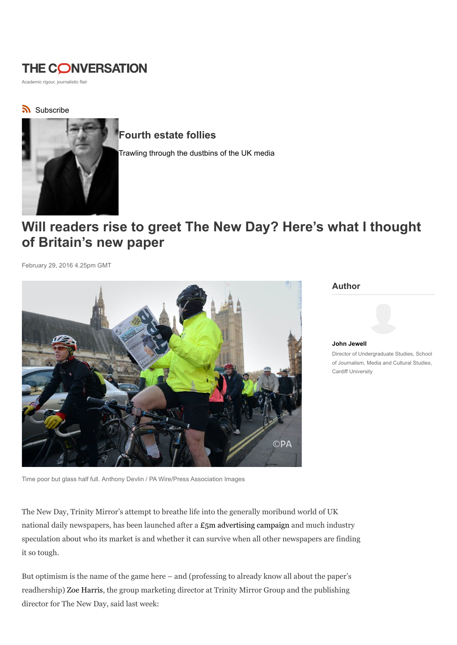# THE CONVERSATION

Academic rigour, journalistic flair

### Subscribe



## Fourth estate follies

Trawling through the dustbins of the UK media

# Will readers rise to greet The New Day? Here's what I thought of Britain's new paper

February 29, 2016 4.25pm GMT



#### Author



John Jewell Director of Undergraduate Studies, School of Journalism, Media and Cultural Studies, Cardiff University

Time poor but glass half full. Anthony Devlin / PA Wire/Press Association Images

The New Day, Trinity Mirror's attempt to breathe life into the generally moribund world of UK national daily newspapers, has been launched after a  $E_5$ m advertising campaign and much industry speculation about who its market is and whether it can survive when all other newspapers are finding it so tough.

But optimism is the name of the game here – and (professing to already know all about the paper's readhership) Zoe Harris, the group marketing director at Trinity Mirror Group and the publishing director for The New Day, said last week: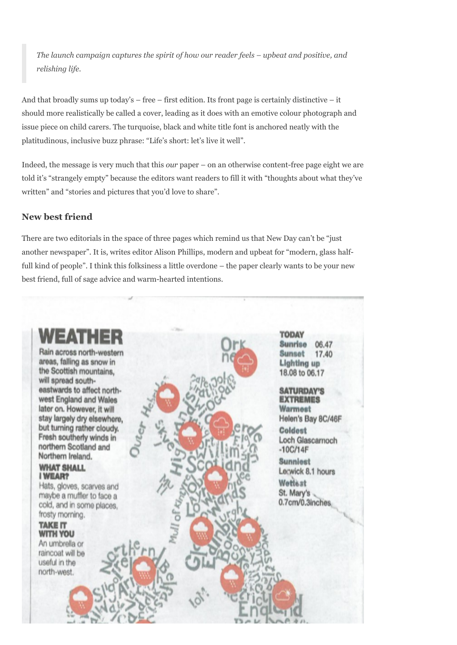The launch campaign captures the spirit of how our reader feels – upbeat and positive, and relishing life.

And that broadly sums up today's – free – first edition. Its front page is certainly distinctive – it should more realistically be called a cover, leading as it does with an emotive colour photograph and issue piece on child carers. The turquoise, black and white title font is anchored neatly with the platitudinous, inclusive buzz phrase: "Life's short: let's live it well".

Indeed, the message is very much that this our paper – on an otherwise content-free page eight we are told it's "strangely empty" because the editors want readers to fill it with "thoughts about what they've written" and "stories and pictures that you'd love to share".

### New best friend

There are two editorials in the space of three pages which remind us that New Day can't be "just another newspaper". It is, writes editor Alison Phillips, modern and upbeat for "modern, glass halffull kind of people". I think this folksiness a little overdone – the paper clearly wants to be your new best friend, full of sage advice and warm-hearted intentions.

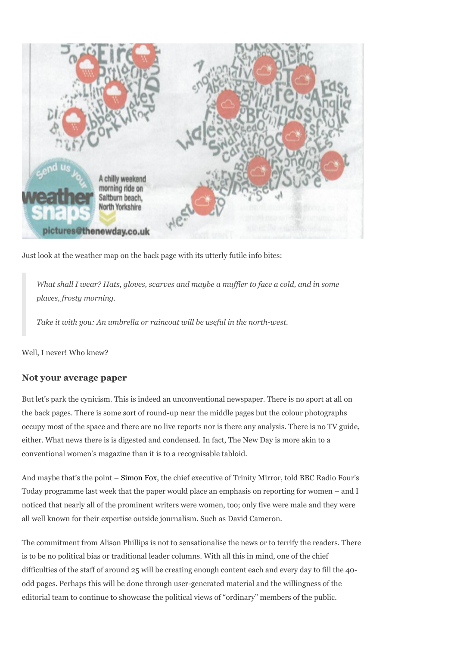

Just look at the weather map on the back page with its utterly futile info bites:

What shall I wear? Hats, gloves, scarves and maybe a muffler to face a cold, and in some places, frosty morning.

Take it with you: An umbrella or raincoat will be useful in the north-west.

Well, I never! Who knew?

#### Not your average paper

But let's park the cynicism. This is indeed an unconventional newspaper. There is no sport at all on the back pages. There is some sort of round-up near the middle pages but the colour photographs occupy most of the space and there are no live reports nor is there any analysis. There is no TV guide, either. What news there is is digested and condensed. In fact, The New Day is more akin to a conventional women's magazine than it is to a recognisable tabloid.

And maybe that's the point – Simon Fox, the chief executive of Trinity Mirror, told BBC Radio Four's Today programme last week that the paper would place an emphasis on reporting for women – and I noticed that nearly all of the prominent writers were women, too; only five were male and they were all well known for their expertise outside journalism. Such as David Cameron.

The commitment from Alison Phillips is not to sensationalise the news or to terrify the readers. There is to be no political bias or traditional leader columns. With all this in mind, one of the chief difficulties of the staff of around 25 will be creating enough content each and every day to fill the 40 odd pages. Perhaps this will be done through user-generated material and the willingness of the editorial team to continue to showcase the political views of "ordinary" members of the public.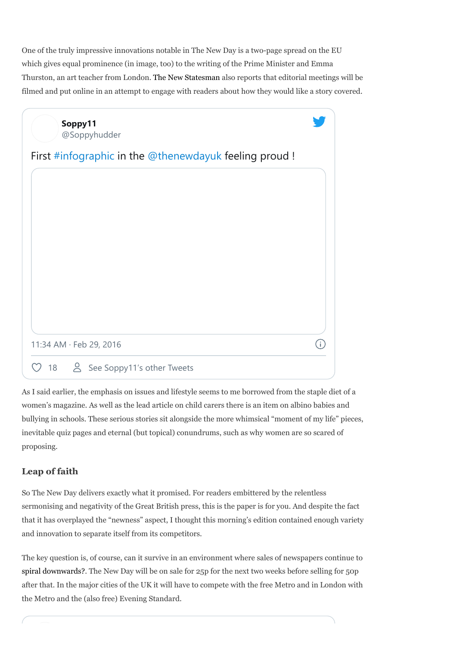One of the truly impressive innovations notable in The New Day is a two-page spread on the EU which gives equal prominence (in image, too) to the writing of the Prime Minister and Emma Thurston, an art teacher from London. The New Statesman also reports that editorial meetings will be filmed and put online in an attempt to engage with readers about how they would like a story covered.

| @Soppyhudder |                                                        |  |
|--------------|--------------------------------------------------------|--|
|              | First #infographic in the @thenewdayuk feeling proud ! |  |
|              |                                                        |  |
|              |                                                        |  |
|              |                                                        |  |
|              |                                                        |  |
|              |                                                        |  |
|              |                                                        |  |
|              |                                                        |  |
|              |                                                        |  |
|              |                                                        |  |
|              |                                                        |  |
|              | 11:34 AM · Feb 29, 2016                                |  |

As I said earlier, the emphasis on issues and lifestyle seems to me borrowed from the staple diet of a women's magazine. As well as the lead article on child carers there is an item on albino babies and bullying in schools. These serious stories sit alongside the more whimsical "moment of my life" pieces, inevitable quiz pages and eternal (but topical) conundrums, such as why women are so scared of proposing.

## Leap of faith

So The New Day delivers exactly what it promised. For readers embittered by the relentless sermonising and negativity of the Great British press, this is the paper is for you. And despite the fact that it has overplayed the "newness" aspect, I thought this morning's edition contained enough variety and innovation to separate itself from its competitors.

The key question is, of course, can it survive in an environment where sales of newspapers continue to spiral downwards?. The New Day will be on sale for 25p for the next two weeks before selling for 50p after that. In the major cities of the UK it will have to compete with the free Metro and in London with the Metro and the (also free) Evening Standard.